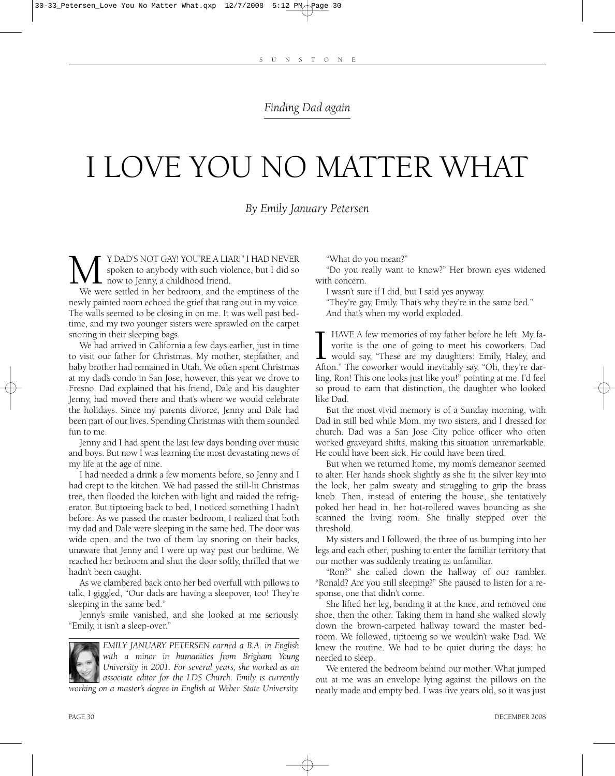## *Finding Dad again*

## I LOVE YOU NO MATTER WHAT

*By Emily January Petersen*

MU Y DAD'S NOT GAY! YOU'RE A LIAR!" I HAD NEVER spoken to anybody with such violence, but I did so were settled in her bedroom, and the emptiness of the spoken to anybody with such violence, but I did so  $\perp$  now to Jenny, a childhood friend.

newly painted room echoed the grief that rang out in my voice. The walls seemed to be closing in on me. It was well past bedtime, and my two younger sisters were sprawled on the carpet snoring in their sleeping bags.

We had arrived in California a few days earlier, just in time to visit our father for Christmas. My mother, stepfather, and baby brother had remained in Utah. We often spent Christmas at my dad's condo in San Jose; however, this year we drove to Fresno. Dad explained that his friend, Dale and his daughter Jenny, had moved there and that's where we would celebrate the holidays. Since my parents divorce, Jenny and Dale had been part of our lives. Spending Christmas with them sounded fun to me.

Jenny and I had spent the last few days bonding over music and boys. But now I was learning the most devastating news of my life at the age of nine.

I had needed a drink a few moments before, so Jenny and I had crept to the kitchen. We had passed the still-lit Christmas tree, then flooded the kitchen with light and raided the refrigerator. But tiptoeing back to bed, I noticed something I hadn't before. As we passed the master bedroom, I realized that both my dad and Dale were sleeping in the same bed. The door was wide open, and the two of them lay snoring on their backs, unaware that Jenny and I were up way past our bedtime. We reached her bedroom and shut the door softly, thrilled that we hadn't been caught.

As we clambered back onto her bed overfull with pillows to talk, I giggled, "Our dads are having a sleepover, too! They're sleeping in the same bed."

Jenny's smile vanished, and she looked at me seriously. "Emily, it isn't a sleep-over."



*EMILY JANUARY PETERSEN earned a B.A. in English with a minor in humanities from Brigham Young University in 2001. For several years, she worked as an associate editor for the LDS Church. Emily is currently working on a master's degree in English at Weber State University.* 

"What do you mean?"

"Do you really want to know?" Her brown eyes widened with concern.

I wasn't sure if I did, but I said yes anyway.

"They're gay, Emily. That's why they're in the same bed." And that's when my world exploded.

I HAVE A few memories of my father before he left. My favorite is the one of going to meet his coworkers. Dad would say, "These are my daughters: Emily, Haley, and Afton." The coworker would inevitably say, "Oh, they're da HAVE A few memories of my father before he left. My favorite is the one of going to meet his coworkers. Dad would say, "These are my daughters: Emily, Haley, and ling, Ron! This one looks just like you!" pointing at me. I'd feel so proud to earn that distinction, the daughter who looked like Dad.

But the most vivid memory is of a Sunday morning, with Dad in still bed while Mom, my two sisters, and I dressed for church. Dad was a San Jose City police officer who often worked graveyard shifts, making this situation unremarkable. He could have been sick. He could have been tired.

But when we returned home, my mom's demeanor seemed to alter. Her hands shook slightly as she fit the silver key into the lock, her palm sweaty and struggling to grip the brass knob. Then, instead of entering the house, she tentatively poked her head in, her hot-rollered waves bouncing as she scanned the living room. She finally stepped over the threshold.

My sisters and I followed, the three of us bumping into her legs and each other, pushing to enter the familiar territory that our mother was suddenly treating as unfamiliar.

"Ron?" she called down the hallway of our rambler. "Ronald? Are you still sleeping?" She paused to listen for a response, one that didn't come.

She lifted her leg, bending it at the knee, and removed one shoe, then the other. Taking them in hand she walked slowly down the brown-carpeted hallway toward the master bedroom. We followed, tiptoeing so we wouldn't wake Dad. We knew the routine. We had to be quiet during the days; he needed to sleep.

We entered the bedroom behind our mother. What jumped out at me was an envelope lying against the pillows on the neatly made and empty bed. I was five years old, so it was just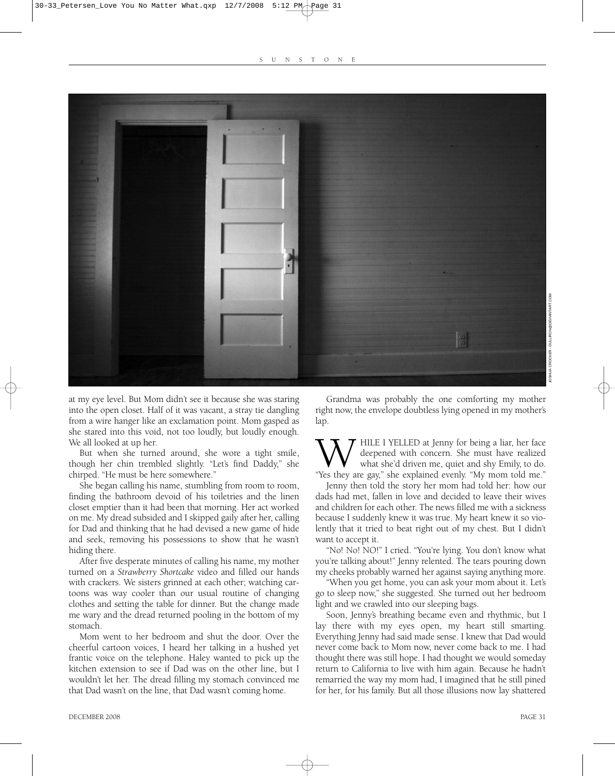

at my eye level. But Mom didn't see it because she was staring into the open closet. Half of it was vacant, a stray tie dangling from a wire hanger like an exclamation point. Mom gasped as she stared into this void, not too loudly, but loudly enough. We all looked at up her.

But when she turned around, she wore a tight smile, though her chin trembled slightly. "Let's find Daddy," she chirped. "He must be here somewhere."

She began calling his name, stumbling from room to room, finding the bathroom devoid of his toiletries and the linen closet emptier than it had been that morning. Her act worked on me. My dread subsided and I skipped gaily after her, calling for Dad and thinking that he had devised a new game of hide and seek, removing his possessions to show that he wasn't hiding there.

After five desperate minutes of calling his name, my mother turned on a *Strawberry Shortcake* video and filled our hands with crackers. We sisters grinned at each other; watching cartoons was way cooler than our usual routine of changing clothes and setting the table for dinner. But the change made me wary and the dread returned pooling in the bottom of my stomach.

Mom went to her bedroom and shut the door. Over the cheerful cartoon voices, I heard her talking in a hushed yet frantic voice on the telephone. Haley wanted to pick up the kitchen extension to see if Dad was on the other line, but I wouldn't let her. The dread filling my stomach convinced me that Dad wasn't on the line, that Dad wasn't coming home.

Grandma was probably the one comforting my mother right now, the envelope doubtless lying opened in my mother's lap.

WHILE I YELLED at Jenny for being a liar, her face deepened with concern. She must have realized what she'd driven me, quiet and shy Emily, to do. "Yes they are gay," she explained evenly. "My mom told me." deepened with concern. She must have realized what she'd driven me, quiet and shy Emily, to do.

Jenny then told the story her mom had told her: how our dads had met, fallen in love and decided to leave their wives and children for each other. The news filled me with a sickness because I suddenly knew it was true. My heart knew it so violently that it tried to beat right out of my chest. But I didn't want to accept it.

"No! No! NO!" I cried. "You're lying. You don't know what you're talking about!" Jenny relented. The tears pouring down my cheeks probably warned her against saying anything more.

"When you get home, you can ask your mom about it. Let's go to sleep now," she suggested. She turned out her bedroom light and we crawled into our sleeping bags.

Soon, Jenny's breathing became even and rhythmic, but I lay there with my eyes open, my heart still smarting. Everything Jenny had said made sense. I knew that Dad would never come back to Mom now, never come back to me. I had thought there was still hope. I had thought we would someday return to California to live with him again. Because he hadn't remarried the way my mom had, I imagined that he still pined for her, for his family. But all those illusions now lay shattered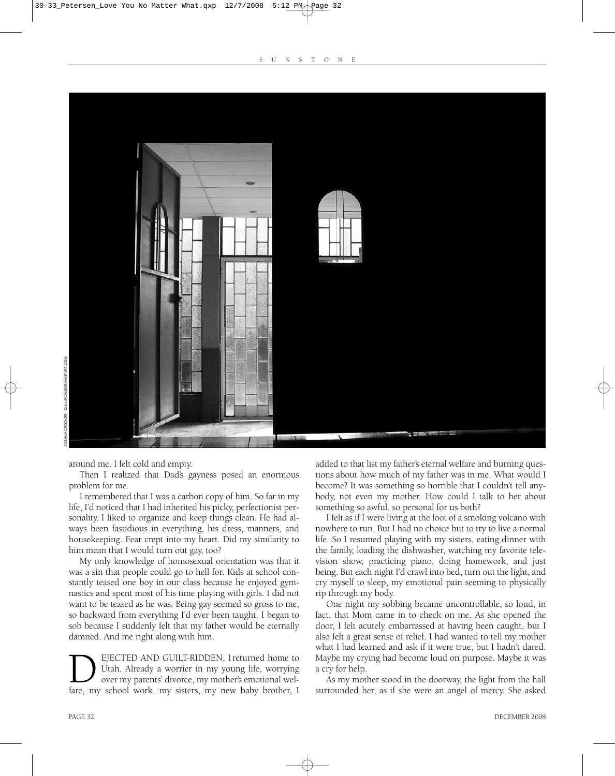

around me. I felt cold and empty.

Then I realized that Dad's gayness posed an enormous problem for me.

I remembered that I was a carbon copy of him. So far in my life, I'd noticed that I had inherited his picky, perfectionist personality. I liked to organize and keep things clean. He had always been fastidious in everything, his dress, manners, and housekeeping. Fear crept into my heart. Did my similarity to him mean that I would turn out gay, too?

My only knowledge of homosexual orientation was that it was a sin that people could go to hell for. Kids at school constantly teased one boy in our class because he enjoyed gymnastics and spent most of his time playing with girls. I did not want to be teased as he was. Being gay seemed so gross to me, so backward from everything I'd ever been taught. I began to sob because I suddenly felt that my father would be eternally damned. And me right along with him.

DEJECTED AND GUILT-RIDDEN, I returned home to Utah. Already a worrier in my young life, worrying over my parents' divorce, my mother's emotional welfare, my school work, my sisters, my new baby brother, I Utah. Already a worrier in my young life, worrying over my parents' divorce, my mother's emotional weladded to that list my father's eternal welfare and burning questions about how much of my father was in me. What would I become? It was something so horrible that I couldn't tell anybody, not even my mother. How could I talk to her about something so awful, so personal for us both?

I felt as if I were living at the foot of a smoking volcano with nowhere to run. But I had no choice but to try to live a normal life. So I resumed playing with my sisters, eating dinner with the family, loading the dishwasher, watching my favorite television show, practicing piano, doing homework, and just being. But each night I'd crawl into bed, turn out the light, and cry myself to sleep, my emotional pain seeming to physically rip through my body.

One night my sobbing became uncontrollable, so loud, in fact, that Mom came in to check on me. As she opened the door, I felt acutely embarrassed at having been caught, but I also felt a great sense of relief. I had wanted to tell my mother what I had learned and ask if it were true, but I hadn't dared. Maybe my crying had become loud on purpose. Maybe it was a cry for help.

As my mother stood in the doorway, the light from the hall surrounded her, as if she were an angel of mercy. She asked